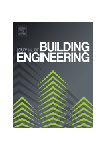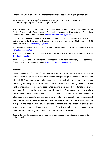# **Tensile Behaviour of Textile Reinforcement under Accelerated Ageing Conditions**

Natalie Williams Portal, Ph.D.<sup>1</sup>, Mathias Flansbjer, Adj. Prof.<sup>2</sup>, Pär Johannesson, Ph.D.<sup>3</sup>, Katarina Malaga, Adj. Prof.<sup>4</sup>, Karin Lundgren, Prof.<sup>5</sup>

<sup>1</sup>CBI Swedish Cement and Concrete Research Institute, Borås, SE-501 15, Sweden, and Dept. of Civil and Environmental Engineering, Chalmers University of Technology, Gothenburg 412 96, Sweden E-mail: Natalie.WilliamsPortal@cbi.se

<sup>2</sup>SP Technical Research Institute of Sweden, Borås, SE-501 15, Sweden, and Dept. of Civil and Environmental Engineering, Chalmers University of Technology, Gothenburg 412 96, Sweden E-mail: Mathias.flansbjer@sp.se

<sup>3</sup>SP Technical Research Institute of Sweden, Gothenburg, SE-400 22, Sweden, E-mail: Par.Johannesson@sp.se

4 CBI Swedish Cement and Concrete Research Institute, Borås, SE-501 15, Sweden, E-mail: Katarina.Malaga@cbi.se

<sup>5</sup>Dept. of Civil and Environmental Engineering, Chalmers University of Technology, Gothenburg 412 96, Sweden, E-mail: Karin.lundgren@chalmers.se

# **Abstract:**

Textile Reinforced Concrete (TRC) has emerged as a promising alternative wherein corrosion is no longer an issue and much thinner and light-weight elements can be designed. Although TRC has been expansively researched, the formalization of experimental methods concerning durability arises when attempting to implement and design such innovative building materials. In this study, accelerated ageing tests paired with tensile tests were performed. The change in physico-mechanical properties of various commercially available textile reinforcements was documented and evaluated. The ability for the reinforcements to retain their tensile capacity was also quantified in the form of empirical degradation curves. It was observed that accelerated test parameters typically applied to fibre-reinforced polymer (FRP) bars and grids are generally too aggressive for the textile reinforcement products and alternative boundary conditions are necessary. The developed degradation curves were found to have an overall good correlation with the experimental findings.

**Keywords:** Textile reinforced concrete; accelerated ageing; tensile testing; experimental tests; durability.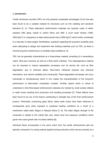## **1. Introduction**

Textile reinforced concrete (TRC) not only presents sustainable advantages [1] but has also been found to be a suitable material for structures such as thin cladding and sandwich elements [2, 3]. These alternative reinforcement materials are typically made of alkaliresistant (AR) glass, basalt or carbon fibres and offer a much lower density (1800- 3000 kg/m<sup>3</sup>) in comparison to steel reinforcement bars (7850 kg/m<sup>3</sup>) which further contributes to a reduction in dead weight. Nonetheless, questions regarding the long-term durability arise when attempting to design and implement new building materials such as TRC, as there is minimal long-term performance or durability data available [4, 5].

TRC can be generally characterized as a three-phase material consisting of a cementitious matrix, fibre-yarn structure as well as a fibre-matrix interface. This heterogeneous material can be exposed to various degradation processes over its service life, such as fibre degradation due to chemical attack, fibre-matrix interfacial physical and chemical interactions, and volume instability and cracking [6]. These degradation processes can occur individually or simultaneously which in turn makes the characterization of the long-term performance of fibre-based composites complex. Another aspect which is critical to understand is that fibre-based reinforcement materials are marked by small surface defects or weak zones resulting from production and handling processes [7]. These defects have been found to be one of the factors contributing to strength loss of the final reinforcement product. Particularly concerning glass fibres, these weak zones have been observed to consequently grow when exposed to sustained loading conditions as a result of a mechanism called static fatigue or delayed failure [7, 8]. The static fatigue strength of the composite is related to the critical flaw size, stress level and exposure conditions which govern the crack growth rate of surface defects [9].

Individual fibres incorporated in the yarns which form the textile reinforcement grid are typically composed of a sizing material applied during production which serves primarily as a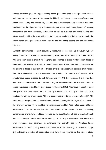surface protection [10]. This applied sizing could greatly influence the degradation process and long-term performance of the composite [11-13], particularly concerning AR-glass and basalt fibres. During the service life, TRC and the reinforcement could face such boundary conditions like the high alkalinity of the concrete pore water (peak during hydration), varying temperature and humidity loads, carbonation as well as sustained and cyclic loading and fatigue which could all have an effect on its long-term mechanical behaviour. As such, the critical zones of degradation will most likely be the fibre sizing-coating and the fibre-matrix interface.

Durability performance is most accurately measured in real-time [5]; however, typically having time as a constraint, accelerated ageing tests [6] or experimentally calibrated models [10] have been used to predict the long-term performance of textile reinforcement, fibres or fibre-reinforced polymers (FRP) in a cementitious matrix. A common method to accelerate the ageing of fibres in the form of FRP rods or textile reinforcement consists of immersing them in a simulated or actual concrete pore solution, i.e. alkaline environment, while simultaneous being exposed to high temperature [10, 14]. For instance, this method has been used to measure the loss of tensile strength exclusively due to the so-called chemical corrosion process related to AR-glass textile reinforcement [15]. Alternatively, basalt or glass fibre yarns have been immersed in sodium hydroxide (NaOH) and hydrochloric acid (HCl) solutions for varying time periods [16] or 3-ionic solutions to target localized attack [17, 18]. Electron-microscopes have commonly been applied to investigate the degradation phases of the fibre-yarn surface [18] or the fibre-yarn-matrix interface [13]. Accelerated ageing of textile reinforcement cast in concrete has also been conducted in climate chambers at varying temperatures or moisture conditions followed by the quantification of loss of tensile strength and bond through various mechanical tests [4, 13, 19, 20]. A time-dependent model was even developed and calibrated to determine the strength loss of AR-glass textile reinforcement in TRC [21-23], which was thereafter applied to design a pedestrian bridge [24]. Although a number of accelerated tests have been reported in this field of study,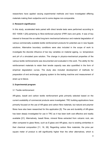researchers have applied varying experimental methods and have investigated differing materials making them subjective and to some degree non-comparable.

#### **2. Research significance**

In this study, accelerated tests paired with direct tensile tests were performed according to ISO 10406-1 [25] pertaining to fibre-reinforced polymer (FRP) bars and grids. It was of key interest to forecast the so-called long-term mechanical behaviour and material degradation of various commercially available textile reinforcement products for potential use in new façade solutions. Alternative boundary conditions were also included in the scope of work to investigate the discrete influence of two key variables on material ageing, i.e. temperature and pH of a simulated pore solution. The change in physico-mechanical properties of the various textile reinforcements was documented and evaluated in this work. The ability for the reinforcement materials to retain their tensile capacity was also quantified in the form of empirical degradation curves. The study also included development of methods for preparation of end anchorage, gripping system to the testing machine and measurement of strain up to failure.

### **3. Experimental program**

### 3.1 Textile reinforcement

AR-glass, basalt and carbon textile reinforcement grids primarily selected based on the current availability of commercial products were investigated. TRC building applications have primarily focused on the use of AR-glass and carbon fibre materials, but natural and polymer fibres have also been researched for this application [5]. The use and durability of AR-glass has been deeply investigated for use in TRC as it has been both cost effective and readily available [21]. Alternatively, basalt fibres, mineral fibres extracted from volcanic rock, are often compared to glass fibres, such as E-glass and AR-glass, due to existing similarities in their chemical composition [11, 16, 26]. Regarding carbon fibre materials, the price per square meter of product is still significantly higher than the other alternatives, which is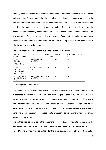primarily because it is still most commonly demanded in other industries such as automotive and aerospace. General material and mechanical properties are commonly provided by the textile reinforcement producers, such as those data presented in Table 1, and at times also including the modulus of elasticity and elongation. The methods used to obtain the mechanical properties vary based on the source, which could decrease the soundness of the available data. Even so, tensile testing of these reinforcement materials was conducted according to the standard method stated in ISO 10406-1 [25] to base further evaluations in this study on these obtained data.

| Material<br>(Product/Supplier)                                        | Coating                                | Grid Spacing<br>$0^{\circ}/90^{\circ}$ [mm] | Weight<br>$\left[\frac{q}{m}\right]$ | Tensile Strength of Yarn<br>[N] |
|-----------------------------------------------------------------------|----------------------------------------|---------------------------------------------|--------------------------------------|---------------------------------|
| AR-glass<br>(Glasfiberväv<br>Grov), Sto<br>Scandinavia AB             | Styrene-butadiene<br>resin (SBR), 20 % | 7/8                                         | 210                                  | >400                            |
| <b>Basalt</b><br>(Mesh-10-100),<br>Sudaglass Fiber<br>Technology Inc. | Undisclosed resin.<br>17 $%$           | 10/10                                       | 165                                  | 1152                            |
| Carbon (SIGRATEX<br>Grid 250-24), SGL<br>Group                        | Styrene-butadiene<br>resin (SBR), 15 % | 17/18                                       | 250                                  | 4243                            |

Table 1: General properties of the studied reinforcement materials.

## 3.2 Test specimen preparation

The mechanical properties and durability of the selected textile reinforcement materials were investigated. Specimen preparation and test methods provisioned in ISO 10406-1 [25] were applied to determine the tensile capacity, tensile rigidity and ultimate strain of the textile reinforcement alternatives pre- and post-immersion into an alkaline solution. The textile reinforcement, initially in the form of a grid, was cut into so-called individual yarns with a remaining 2 mm projection of the cross-points (crossbars) as well as more than three crosspoints along the length.

The method applied for gripping the specimens in tensile tests is known to be crucial for the test results, and various methods have previously been evaluated for tensile tests of FRPbars [27]. The method must be suitable for the given specimen geometry while transmitting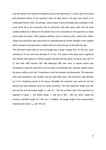only the tensile force along the longitudinal axis of the specimens. It should also be ensured that premature failure of the specimen does not take place in the grip zone which is an undesirable failure mode. Accordingly, various types of end anchorage were evaluated in this study which led to the conclusion that an aluminium tube with epoxy resin was the most suitable method as it allows for the tensile force to be transmitted to the specimen by shear stress within the epoxy. Other gripping methods, such as clamp-to-yarn, emery cloth, rubber sheets and aluminium tabs were found to underestimate the tensile strength of the material which resulted in the specimens to either slide out of the test grip or fail within the grip.

The aluminium tubes used as end anchorage had a length ranging from 75-100 mm, outer diameter of 15 mm and inner diameter of 12 mm. The inside of the tubes were roughened and cleaned with acetone to achieve superior bonding with the epoxy. An epoxy resin with 10 % sand filler (NM Injection 300, Nils Malmgren AB) was used. A special device was developed to keep the specimens and the tubes concentrically and vertically aligned during the epoxy setting, such that 14 specimens could be prepared simultaneously. The specimen ends were prepared in two phases; one end was firstly cast in the aluminium tube followed by a 24 h hardening period of the epoxy, thereafter the specimen was upturned and the second end was prepared using the same procedure. The total specimen length was 500 mm and the end anchorage length,  $L_{e}$ , was 75 – 100 mm on either side of the specimen as depicted in Figure 1. The tested length, *L*, was set to 300 – 350 mm which meets the minimum specified length of  $\geq$  300 mm. In addition, the gauge length of the extensometer measuring the strain, L<sub>g</sub>, was 100 mm.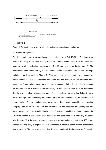

Figure 1. Geometry and layout of a tensile test specimen with end anchorage.

### 3.3 Tensile strength test

Tensile strength tests were conducted in accordance with ISO 10406-1. The tests were carried out using a universal testing machine (Sintech Model 20/D) and the force was recorded by a load cell with a rated capacity of 10 kN and an accuracy better than 1 %. The deformation was measured by a Messphysik Videoextensometer ME46 with backlight technique as illustrated in Figure 2. The measuring gauge length was chosen as approximately 100 mm as previously mentioned and was marked by two reference metal cross-pins. A great advantage of using a video extensometer is that it is possible to measure the deformation up to failure of the specimen, i.e. the ultimate strain can be determined directly. A mechanical extensometer most often has to be removed before failure to avoid risk of damage, thereby causing the ultimate strain to be extrapolated by the assumption of linear elasticity. The force and deformation were recorded in a data acquisition system with a sampling rate of 20 Hz. The load was introduced to the specimen by gripping the end anchorages in the conventional hydraulic grips of the testing machine. A clamp pressure of 4 MPa was applied to the anchorage at both ends. The specimens were generally preloaded by a force of 20 N; however, in certain cases a larger preload of approximately 100 N was needed to adequately straighten out the specimens in order to obtain correct deformation measurements. The tests were controlled by the cross-head displacement of 3 mm/min,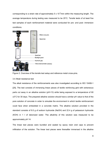corresponding to a strain rate of approximately  $5 \times 10^{-3}$ /min within the measuring length. The average temperature during testing was measured to be 25°C. Tensile tests of at least five test samples of each reinforcement material were conducted for pre- and post- immersion conditions.





# 3.4 Alkali resistance test

The alkali resistance of the reinforcements was also investigated according to ISO 10406-1 [25]. The test consists of immersing linear pieces of textile reinforcing grid with extraneous parts cut away in an alkaline solution (pH>13) while being exposed to a temperature of 60 ±3°C for 30 days. The prepared alkaline solution should have a similar pH value to that of the pore solution of concrete in order to simulate the environment in which textile reinforcement could face when embedded in a concrete matrix. The alkaline solution provided in the standard consists of 8.0 g of sodium hydroxide (NaOH) and 22.4 g of potassium hydroxide (KOH) in 1 I of deionized water. The alkalinity of this solution was measured to be approximately pH 14.

The linear test pieces were bundled and sealed by epoxy resin end caps to prevent infiltration of the solution. The linear test pieces were thereafter immersed in the alkaline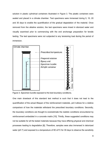solution in plastic cylindrical containers illustrated in Figure 3. The plastic containers were sealed and placed in a climate chamber. Test specimens were immersed during 5, 10, 20 and 30 days to enable the quantification of the gradual degradation of the material. Once removed from the alkaline solution, the test specimens were rinsed in dionized water and visually examined prior to commencing with the end anchorage preparation for tensile testing. The test specimens were not subjected to any tensioning load during the period of immersion.



Figure 3. Specimen bundle exposed to the test boundary conditions.

One main drawback of this standard test method is such that it does not lead to the quantification of the actual lifespan of the reinforcement materials, yet it allows for a relative comparison of how the materials withstand the prescribed boundary conditions. Secondly, the boundary conditions are thought to overestimate the realistic conditions encountered by reinforcement embedded in a concrete matrix [10]. Thirdly, these suggested conditions may not be suitable for all the tested materials because they have differing physical and chemical processes leading to degradation [6]. Therefore, samples were also immersed in deionized water (pH 7) and exposed to a temperature of 60  $\pm 3^{\circ}$ C for 30 days to observe the sensitivity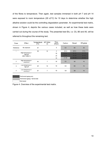of the fibres to temperature. Then again, test samples immersed in both pH 7 and pH 14 were exposed to room temperature (20  $\pm 3^{\circ}$ C) for 10 days to determine whether the high alkaline solution could be the controlling degradation parameter. An experimental test matrix, shown in Figure 4, depicts the various cases included, as well as how these tests were carried out during the course of the study. The presented test IDs, i.e. C0, B0 and A0, will be referred to throughout the remaining text.

| Case                       | Effect                           | Temperature<br>[°C] | pH Value<br>$[\cdot]$    | Time<br>[days] | Carbon         | <b>Basalt</b>  | AR-glass       |
|----------------------------|----------------------------------|---------------------|--------------------------|----------------|----------------|----------------|----------------|
| Reference                  | No exposure                      | 20                  | $\overline{\phantom{a}}$ | 0              | CO             | <b>B0</b>      | A <sub>0</sub> |
| 1                          |                                  | 60                  | 14                       | 5              | $C1-5$         | $B1-5$         | $A1-5$         |
|                            | High temperature +               |                     |                          | 10             | $C1-10$        | <b>B1-10</b>   | $A1-10$        |
| high pH<br>$(ISO 10406-1)$ |                                  |                     |                          | 20             | $C1-20$        | <b>B1-20</b>   | $A1-20$        |
|                            |                                  |                     | 30                       | $C1-30$        | <b>B1-30</b>   | $A1-30$        |                |
| 2                          | High temperature +<br>neutral pH | 60                  | 7                        | 30             | C <sub>2</sub> | <b>B2</b>      | A2             |
| 3                          | Low temperature +<br>high pH     | 20                  | 14                       | 10             | C <sub>3</sub> | B <sub>3</sub> | A <sub>3</sub> |
| 4                          | Low temperature +<br>neutral pH  | 20                  | 7                        | 10             | C <sub>4</sub> | <b>B4</b>      | A <sub>4</sub> |



Performed ageing only Performed ageing + tensile test

Figure 4. Overview of the experimental test matrix.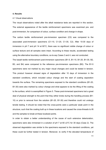## **4. Results**

#### 4.1 Visual observations

The visual observations noted after the alkali resistance tests are reported in this section. The external appearance of the textile reinforcement specimens was examined pre- and post-immersion, for comparison of colour, surface condition and change in shape.

The carbon textile reinforcement pre-immersion specimen (C0) was compared to the associated post-immersion specimens (C1-10, C1-20, C1-30, C2). After 10-30 days of immersion in pH 7 and pH 14 at 60°C, there was no significant visible change of colour or surface texture and all samples were intact. According to these results, accelerated testing using the alternative boundary conditions, so-to-say Cases 3 and 4, was not conducted.

The basalt textile reinforcement post-immersion specimens (B1-5, B1-10, B1-20, B1-30, B2, B3, and B4) were compared to the reference pre-immersion specimens (B0). The B1-5 specimens were not marked by any major visual changes and could be tested in tension. This product however showed signs of degradation after 10 days of immersion in the standard conditions, which included colour change and the start of coating separation towards the surface. The remaining specimens exposed to the standard conditions (B1-20, B1-30) were also marked by colour change and what appears to be the lifting of the coating to the surface, which is exemplified in Figure 5. These post-immersed specimens lost a great deal of physical strength to the point that they either broke during the handling process (B1- 10) or prior to removal from the solution (B1-20, B1-30) and therefore could not undergo tensile testing. It should be noted that the cross-points were a particular weak point in the structure, such that the coating built up in these locations and caused the cross-threads to lift and the samples to break at these localized points.

In order to obtain a better understanding of the cause of such extensive deterioration, specimens were also immersed in a solution of pH 7 at 60 ±3°C for 30 days (Case 2). The observed degradation was similar to the specimens exposed to the standard conditions, yet these could be further tested in tension. Moreover, to verify if the elevated temperature of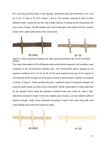60°C was the governing factor in this equation, specimens were also immersed in pH 7 and pH 14 for 10 days at 20 ±3°C (Cases 3 and 4). The samples exposed to both of these alkalinity levels, namely B3 and B4, had a slight build-up of coating at the cross-points and minor colour change. The B3 samples had a loss of strength to the extent that they could be broken with a slight pulling force at the cross-points.



Figure 5. Visual comparison between pre- (B0) and post-immersion (B1-30) for the basalt product.

The visual observations for the AR-glass textile reinforcement exposed to all conditions were compared to the pre-immersion samples (A0). The reinforcement pieces exposed to the standard conditions (A1-5, A1-10, A1-20, A1-30) were marked by the loss of the majority of cross-threads which revealed a thinner layer of sizing in these locations, wherein an example is shown in Figure 6. These samples also lost a significant amount of physical strength and could be easily broken by hand at the cross-points. Similar observations to those described for the samples which faced the standard conditions were also noted for Case 2 (A2). Specimens exposed to Case 3 (A3) had a slightly wavy structure, yet had retained sufficient physical strength. Lastly, those immersed according to Case 4 (A4) were intact with most cross-threads and could not be easily torn apart.

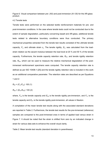Figure 6. Visual comparison between pre- (A0) and post-immersion (A1-30) for the AR-glass product.

## 4.2 Tensile tests

Tensile tests were performed on the selected textile reinforcement materials for pre- and post-immersion conditions. In the case where tensile tests could not be conducted due to the extent of sample degradation, particularly concerning basalt and AR-glass, additional tensile tests related to alternative boundary conditions were thus conducted. The primary mechanical properties extracted from the tensile test results consisted of the ultimate tensile capacity,  $F_u$ , and ultimate strain  $\varepsilon_u$ . The tensile rigidity,  $E_A$ , was calculated from the loadstrain relation as the secant modulus between the load level at 20 % and 50 % of the tensile capacity. Furthermore, the tensile capacity retention rate,  $R_{ET}$ , and tensile rigidity retention rate,  $R_{EA}$ , which can be used to measure the relative mechanical degradation of the postimmersed reinforcement specimens were computed. The tensile capacity retention rate is defined as per ISO 10406-1 [25] and the tensile rigidity retention rate is included in this work as an additional comparative parameter. The retention rates are described as per Equations 1 and 2:

 $R_{ET} = (F_{u1}/F_{u0}) \cdot 100$  (1)

$$
R_{EA} = (E_{A1}/E_{A0}) \cdot 100 (2)
$$

where,  $F_{u0}$  is the tensile capacity and  $E_{A0}$  is the tensile rigidity pre-immersion, and  $F_{u1}$  is the tensile capacity and  $E_{A1}$  is the tensile rigidity post-immersion, all values in Newton.

A compilation of the mean tensile test results along with the associated standard deviations are reported in Table 2. Furthermore, the tensile test results for the pre-immersed (reference) samples are compared to the post-immersed ones in terms of applied load versus strain in Figure 7. It should be noted that the strain is shifted from zero by an indicated change in strain for various data sets to enhance the overall visual clarity.

Table 2: Mean tensile test results (standard deviation in parentheses).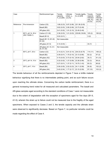| Case           |                   | Reinforcement type                 | Tensile<br>capacity,<br>$F_u$ (σ) [kN] | Ultimate<br>strain, $\varepsilon$ <sub>u</sub><br>$(\sigma)$ [%] | Tensile rigidity,<br>$E_A$ (σ) [kN] | Tensile<br>capacity<br>retention<br>rate, $R_{\text{FT}}$<br>$(\sigma)$ [%] | Tensile<br>rigidity<br>retention<br>rate, $R_{EA}$<br>$(\sigma)$ [%] |  |
|----------------|-------------------|------------------------------------|----------------------------------------|------------------------------------------------------------------|-------------------------------------|-----------------------------------------------------------------------------|----------------------------------------------------------------------|--|
| Reference      | Pre-immersion     | Carbon (C0)                        | 1.88(0.23)                             | 0.87(0.06)                                                       | 221.38 (5.05)                       |                                                                             |                                                                      |  |
|                |                   | Basalt (B0)                        | 0.62(0.03)                             | 2.85(0.08)                                                       | 23.73 (0.49)                        | $\overline{\phantom{a}}$                                                    |                                                                      |  |
|                |                   | AR-glass (A0)                      | 0.41(0.02)                             | 1.91(0.10)                                                       | 22.49 (0.49)                        |                                                                             |                                                                      |  |
|                | 60°C, pH 14, 30 d | Carbon (C1-30)                     | 2.36(0.03)                             | 1.01(0.03)                                                       | 235.68 (18.60)                      | 125(2)                                                                      | 106(8)                                                               |  |
|                | $(ISO 10406-1)$   | Basalt (B1-5)                      | 0.02(0.01)                             | $\overline{\phantom{a}}$                                         |                                     | 3(2)                                                                        | $\overline{\phantom{a}}$                                             |  |
|                |                   | Basalt (B1-10, B1-20,<br>B1-30)    | Not measurable                         |                                                                  |                                     |                                                                             |                                                                      |  |
|                |                   | AR-glass (A1-5)                    | 0.14(0.03)                             | $\overline{\phantom{a}}$                                         | $\qquad \qquad -$                   | 33(7)                                                                       | $\overline{\phantom{a}}$                                             |  |
|                |                   | AR-glass (A1-10, A1-<br>20, A1-30) | Not measurable                         |                                                                  |                                     |                                                                             |                                                                      |  |
| $\overline{2}$ | 60°C, pH 7, 30 d  | Carbon (C2)                        | 2.14(0.21)                             | 0.91(0.14)                                                       | 234.33 (6.75)                       | 114(11)                                                                     | 106(3)                                                               |  |
|                |                   | Basalt (B2)                        | 0.39(0.01)                             | 1.70(0.10)                                                       | 23.13 (0.66)                        | 62(2)                                                                       | 97(3)                                                                |  |
|                |                   | AR-glass (A2)                      | 0.15(0.03)                             | 0.73(0.10)                                                       | 20.54 (2.62)                        | 35(7)                                                                       | 91(12)                                                               |  |
| 3              | 20°C, pH 14, 10 d | Basalt (B3)                        | 0.32(0.02)                             | 1.37(0.08)                                                       | 23.38 (0.98)                        | 52(3)                                                                       | 99(4)                                                                |  |
|                |                   | AR-glass (A3)                      | 0.27(0.01)                             | 1.37(0.11)                                                       | 19.75 (1.43)                        | 65(3)                                                                       | 88 (6)                                                               |  |
| 4              | 20°C, pH 7, 10 d  | Basalt (B4)                        | 0.56(0.05)                             | 2.52(0.23)                                                       | 24.11 (0.58)                        | 90(8)                                                                       | 102(2)                                                               |  |
|                |                   | AR-glass (A4)                      | 0.40(0.04)                             | 1.77(0.17)                                                       | 23.15 (0.59)                        | 97 (10)                                                                     | 103(3)                                                               |  |

The tensile behaviour of all the reinforcements depicted in Figure 7 have a brittle material behaviour signifying that there is no intermediate yielding point, and as such failure occurs upon reaching the ultimate stress. Concerning the carbon textile reinforcement, there is a general increasing trend noted for all measured and calculated parameters. The basalt and AR-glass samples aged according to the standard conditions of Case 1 were not measurable due to the extent of degradation with the exception of specimens aged for five days (B1-5, A1-5); wherein the strain up to failure could not be measured due to the fragility of the aged specimens. When exposed to Cases 2 and 3, the tensile capacity and the ultimate strain were observed to significantly decrease. Based on Figure 7, no particular remarks could be made regarding the effect of Case 4.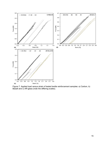

Figure 7. Applied load versus strain of tested textile reinforcement samples: a) Carbon, b) Basalt and c) AR-glass (note the differing scales).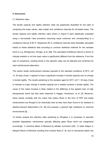## **5. Discussion**

#### 5.1 Retention rates

The tensile capacity and rigidity retention rates are graphically illustrated for the sake of comparing the mean values, data scatter and confidence intervals for all tested cases. The tensile capacity and rigidity retention rates shown in Figure 8 were statistically evaluated using a two-sample t-test procedure assuming equal variances and corresponding to a confidence interval of 95 %. Respective 95 % confidence intervals were thereafter calculated based on these statistical data according to common statistical methods for two samples found in e.g. Montgomery, Runger, et al. [28]. The calculated confidence interval is shown to indicate whether or not the mean value is significantly different from the reference. From this type of comparison, existing trends in the retention rates can be depicted and confirmed for each reinforcement alternative.

The carbon textile reinforcement samples exposed to the standard conditions of 60°C, pH 14, 30 days (Case 1) appear to have a significant increase in tensile capacity and no change in tensile rigidity. The results pertaining to the samples aged for 60°C, pH 7, 30 days (Case 2) indicate no major change in tensile capacity but a notable increase in tensile rigidity. The cause of the noted increase is likely related to the stiffening of the applied resin at high temperatures which has also been observed in Hegger, Horstmann, et al. [3]. Moreover, these results correlate with the notion that carbon fibres in the form of FRP and textile reinforcement are thought to be chemically inert as they have been found to be resistant to alkaline-induced deterioration [14, 29] and possess a general high resistance to chemical environments [5].

To further analyse the retention rates pertaining to AR-glass, it is necessary to describe possible degradation mechanisms typically affecting glass fibres which are categorized accordingly: 1) chemical attack of filaments by alkalies (corrosion) [30] , 2) static fatigue or delayed failure of filaments resulting from surface flaws [7, 8], and 3) mechanical attack due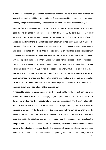to matrix densification [19]. Similar degradation mechanisms have also been reported for basalt fibres, yet it should be noted that basalt fibres possess differing chemical compositions whereby a high iron content may be responsible for an inferior alkali-resistance [11, 31].

It can be further ascertained from Figure 8, that a discernible loss of tensile capacity of ARglass has taken place for all cases except for 20°C, pH 7, 10 days (Case 4). A clear decrease in tensile rigidity was observed for AR-glass for 20°C, pH 14, 10 days (Case 3). Moreover, the lowest tensile capacity retention rates were noted as 33 % and 35 % under the conditions of 60°C, pH 14, 5 days (Case 1) and 60°C, pH 7, 30 days (Case 2), respectively. It has been stipulated by others that the deterioration of AR-glass textile reinforcement increases with increasing pH value and also with temperature [5, 19], which also correlates with the reported findings. In other studies, AR-glass fibres exposed to high temperatures (50-60°C) while placed in a cement environment, i.e. pore solution, were found to face significant strength loss [8, 30]. It was also reported in Chen, Davalos, et al. [32] that glass fibre reinforced polymer bars had most significant strength loss for solutions at 60°C. As aforementioned, the underlying deterioration mechanism related to glass are fairly complex, yet it can be pressumed here that the observed strength loss is attributed to a combination of chemical attack and static fatigue of the reinforcement.

A noticeable decay in tensile capacity for the basalt textile reinforcement samples were marked for Cases 1 (60°C, pH 14, 5 days), 2 (60°C, pH 7, 30 days) and 3 (20°C, pH 14, 10 days). This product had the lowest tensile capacity retention rate of 3 % (Case 1) followed by 52 % (Case 3) which may indicate its sensitivity to high alkalinity. As for the samples exposed to 20°C, pH 7, 10 days (Case 4), the upper bound of the confidence interval for the tensile capacity borders the reference baseline such that this decrease in capacity is uncertain. Also, the resulting loss in tensile rigidity can be concluded as insignificant in comparison to the reference mean value. On the whole, basalt fibres have been described as having a low alkaline resistance despite the accelerated ageing conditions and exposure medium, i.e. pore solution or concrete matrix. Depending on the exposure medium, however,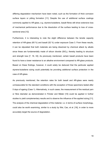differing degradation mechanism have been noted, such as the formation of thick corrosion surface layers or pitting formation [11]. Despite the use of additional surface coatings commonly applied to AR-glass, e.g. styrene-butadiene, basalt fibres still show extensive loss of mechanical performance due to the dissolution of the surface leading to loss of crosssectional area [12].

Furthermore, it is interesting to note the slight difference between the tensile capacity retention of AR-glass (65 %) and basalt (52 %) under exposure Case 3. From these results, it can be stipulated that both materials are being dissolved by chemical attack by alkalis since these are fundamentally made of silicon dioxide  $(SiO<sub>2</sub>)$ , thereby leading to structure and strength loss [7, 16, 33]. As previously mentioned, certain basalt products have been found to have a lower resistance to an alkaline environment compared to AR-glass products. Based on these findings, however, it could solely be deduced that the particular applied styrene-butadiene sizing could potentially be providing additional surface protection in the case of AR-glass.

As previously mentioned, the retention rates for both basalt and AR-glass were nearly unmeasurable for the standard conditions with the exception of those specimens tested after 5 days of ageing (Case 1). Alternatively, in such cases, the measurement of the residual yarn or fibre diameter as demonstrated in Förster and Mäder [10] could be applied in further studies to yield complementary results and to observe the influence of the applied sizing [11]. The analysis of the chemical degradation of the material, i.e. in terms of surface morphology, could also be worth examining, similar to a study by Wei, Cao, et al. [16], in order to more accurately target the source of degradation.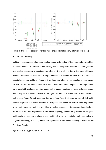

Figure 8. The tensile capacity retention rate (left) and tensile rigidity retention rate (right).

### 5.2 Variable sensitivity

Multiple-linear regression has been applied to correlate certain of the independent variables, which are included in the accelerated testing, namely temperature and time. The regression was applied separately to specimens aged at pH 7 and pH 14, due to the large difference between these values associated to logarithmic scale. It should be noted that the chemical constitution of the textile reinforcement products and chemical composition of the ageing solution are also independent variables which have an important impact on the degradation but are explicitly excluded from this scope for the sake of obtaining an empirical model based on the outputs of the standard ISO 10406-1 [25] test method. Based on the experimental test matrix (see Figure 4) and presented test data (see Table 2), it was concluded that multivariable regression is solely possible for AR-glass and basalt as carbon was only tested when the temperature and time variables were simultaneously at three upper bound values. As an initial trial, the degradation of the tensile capacity, denoted as y, related to AR-glass and basalt reinforcement products is assumed to follow an exponential model, also applied in Cuypers, Orlowsky, et al. [23] where the logarithmic of the tensile capacity is taken as per Equations 3 and 4:

 $ln(y) = a + b_1 \cdot t + b_2 \cdot (T - 20) \cdot t = a + b \cdot (T) \cdot t$  (3)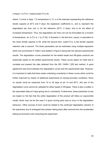## $y=exp(a + b \cdot (T) \cdot t) = exp(a) \cdot exp(b \cdot (T) \cdot t)$  (4)

where, *t* is time in days; *T* is temperature in °C; *a* is the intercept representing the reference tensile capacity at 20°C and 0 days; the regression coefficients  $b_1$ , and  $b_2$  represent the degradation per time unit:  $b_1$  for the reference (20°C, 0 days), and  $b_2$  for the effect of increased temperature. Thus, the degradation per time unit can be formulated as a function of temperature, viz. b $\cdot$ (T)= b<sub>1</sub> + b<sub>2</sub> $\cdot$ (T-20). In Equation 4, the first term, exp(a), is equivalent to the mean tensile capacity in kN, while the second term,  $exp(b \cdot (T) \cdot t)$ , is the tensile capacity retention rate in percent. The three parameters can be estimated using multiple-regression which are summarized in Table 3 and plotted in Figure 9 along with the relevant experimental results. The degradation curves presented for the tested basalt and AR-glass products are empirically based on the plotted experimental results. These curves depict an initial trial to correlate and present the data obtained from the ISO 10406-1 [25] test method. A good agreement was found between the degradation curves and the experimental data. However, it is important to state that there exists underlying uncertainty in these curves which could be further improved by means of additional experiments at varying boundary conditions. Since no results could be measured from 10 to 30 days at pH 14 and 60°C, this part of the degradation curve cannot be validated for either basalt or AR-glass. There is also a scatter in the associated data at 5 days giving rise to uncertainty. Furthermore, these presented curves are based on the fact that the entire degradation of the product will follow an exponential model, which may not be the case if a given turning point was to occur in the degradation behaviour. Other sources of error could be related to the continued degradation reaction of the specimens due to entrapped test solution taking place after removal from the accelerated testing environment until conducting the experiment.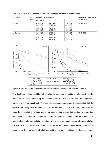| <b>Products</b> | рH<br>value | Regression coefficients [-] | Reference mean tensile        |                               |               |  |
|-----------------|-------------|-----------------------------|-------------------------------|-------------------------------|---------------|--|
|                 |             | Intercept, a                | b <sub>1</sub>                | b <sub>2</sub>                | capacity [kN] |  |
| Basalt          |             | $-4.83E - 01$<br>(2.77E-02) | $-1.03E - 02$<br>$(3.75E-03)$ | $-1.33E - 04$<br>$(8.10E-05)$ | 0.62(0.03)    |  |
|                 | 14          | $-4.83E - 01$<br>(2.60E-01) | $-6.54E-02$<br>$(3.52E-02)$   | $-1.74E - 02$<br>$(1.57E-03)$ |               |  |
| AR-glass        |             | $-8.92E - 01$<br>(5.80E-02) | $-3.88E - 03$<br>$(7.85E-03)$ | $-7.77E-04$<br>$(1.70E-04)$   | 0.41(0.02)    |  |
|                 | 14          | $-8.92E - 01$<br>(6.40E-02) | $-4.29E-02$<br>$(8.67E-03)$   | $-4.57E-03$<br>$(3.64E-04)$   |               |  |

Table 3: Table with regression coefficients (standard deviation in parentheses).



Figure 9. Empirical degradation curves for the selected basalt and AR-glass products.

This illustrated method could be further validated by means of additional data sets. Since the boundary condition specified by the standard ISO 10406-1 [25] test was too aggressive, particularly for the basalt and AR-glass textile reinforcement grids, it is suggested that the accelerated testing technique could be altered. For instance, textile reinforcement samples could be subjected to various tensioning loads during accelerated ageing, whereby time upon failure becomes an independent variable. As well, testing could also be conducted in an actual concrete pore solution or better yet in a concrete matrix instead of a pure alkaline solution. In reality, the reinforcement will not be in direct contact with alkalis when cast in concrete as the movement of alkali are said to be partly restricted by the solid porous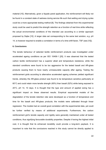material [10]. Alternatively, given a façade panel application, the reinforcement will likely not be found in a constant state of wetness during service life such that wetting and drying cycles could be a more appropriate testing method [6]. The findings obtained from this experimental study could be used to predict the strength retention as a function of real time while reflecting the actual environmental conditions of the intended use according to a similar approach proposed by Dejke [10]. A larger data set corresponding to the same test solution, e.g. pH 14, is however required to enable a correlation in terms of a time shift factor, TSF (see [10]).

# **6. Conclusions**

The tensile behaviour of selected textile reinforcement products was investigated under accelerated ageing conditions as per ISO 10406-1 [25]. It was observed that the tested carbon textile reinforcement has a superior alkali and temperature resistance, while the standard conditions were found to be too aggressive for the tested basalt and AR-glass products causing them to have nearly unmeasurable capacity after ageing. Testing the reinforcement grids according to alternative accelerated ageing schemes yielded significant trends, whereby the AR-glass product was found to be temperature sensitive particularly at 60°C and could retain more tensile strength (65%) than basalt (52%) while being exposed to 20°C, pH 14, 10 days. It is thought that the type and amount of applied sizing has a significant impact on these observed results. Empirical exponential models of the degradation of the tensile retention rate were developed as a function of temperature and time for the basalt and AR-glass products; the models were calibrated through linear regression. The models had an overall good correlation with the experimental data, yet could be further verified by means of additional experiments. Furthermore, the carbon reinforcement grid's tensile capacity and rigidity were generally maintained under all tested conditions, thus signifying favourable durability properties. Despite it having the highest initial cost, it is thought that its enhanced durability could provide a long-term payback. It is important to note that the conclusions reached in this study cannot be directly applied to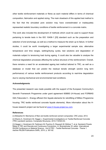other textile reinforcement materials or fibres as each material differs in terms of chemical composition, fabrication and applied sizing. The main drawback of this applied test method is the fact that the simulated pore solution may have overestimated or inadequately represented realistic boundary conditions of textile reinforcement in a concrete matrix.

This work also included the development of methods which could be used to support those pertaining to tensile tests in the ISO 10406-1 [25] standard such as the preparation and selection of end anchorage, as well as a method to measure the strain up to failure. In further studies, it could be worth investigating a larger experimental sample size, alternative temperature and time ranges, wetting/drying cycles, test solutions and degradation of materials subject to tensioning load during ageing. It could also be valuable to analyse the chemical degradation processes affecting the surface structure of the reinforcement. Overall, there remains a need for an accelerated ageing test method tailored to TRC, as well as a database or model that can predict the residual tensile strength (and/or long term performance) of various textile reinforcement products according to real-time degradation due to varying mechanical and environmental load conditions.

## **Acknowledgments**

The presented research was made possible with the support of the European Community's Seventh Framework Programme under grant agreement 608893 (H-House) and FORMAS IQS (Tekocrete II – Energy efficient thin façade elements for retrofitting of Million Programme housing: TRC textile reinforced concrete façade elements). More information about the Hhouse research project can be found at www.h-house-project.eu.com.

### **References**

[1] Mobasher B. Mechanics of fiber and textile reinforced cement composites: CRC press; 2012.

[2] Shams A, Horstmann M, Hegger J. Experimental investigations on Textile-Reinforced Concrete (TRC) sandwich sections. Composite Structures. 2014;118:643-53.

[3] Hegger J, Horstmann M, Feldmann M, Pyschny D, Raupach M, Büttner T, et al. Sandwich Panels Made of TRC and Discrete and Continuous Connectors. In: Brameshuber W, editor. International RILEM Conference on Material Science - 2nd ICTRC - Textile Reinforced Concrete - Theme 1. Aachen RILEM Publications SARL; 2010. p. 381-92.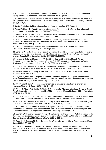[4] Mumenya S, Tait R, Alexander M. Mechanical behaviour of Textile Concrete under accelerated ageing conditions. Cement and Concrete Composites. 2010;32(8):580-8.

[5] Mechtcherine V. Towards a durability framework for structural elements and structures made of or strengthened with high-performance fibre-reinforced composites. Construction and Building Materials. 2012;31:94-104.

[6] Bentur A, Mindess S. Fibre reinforced cementitious composites: CRC Press; 2006.

[7] Purnell P, Short NR, Page CL. A static fatigue model for the durability of glass fibre reinforced cement. Journal of Materials Science. 2001;36(22):5385-90.

[8] Orlowsky J, Raupach M, Cuypers H, Wastiels J. Durability modelling of glass fibre reinforcement in cementitious environment. Mater Struct. 2005;38(2):155-62.

[9] Ortlepp S, Jesse F. Experimental investigation of static fatigue strength of textile reinforced concrete. 1st International RILEM Conference on Textile Reinforced Concrete (ICTRC): RILEM Publications SARL; 2006. p. 131-40.

[10] Dejke V. Durability of FRP reinforcement in concrete: literature review and experiments. Gothenburg: Chalmers University of Technology; 2001.

[11] Scheffler C, Förster T, Mäder E, Heinrich G, Hempel S, Mechtcherine V. Aging of alkali-resistant glass and basalt fibers in alkaline solutions: Evaluation of the failure stress by Weibull distribution function. Journal of Non-Crystalline Solids. 2009;355(52):2588-95.

[12] Hempel S, Butler M, Mechtcherine V. Bond Behaviour and Durability of Basalt Fibres in Cementitious Matrices. In: Brameshuber W, editor. 3rd ICTR International Conference on Textile Reinforced Concrete Aachen, Germany: RILEM SARL; 2015. p. 225-33.

[13] Butler M, Mechtcherine V, Hempel S. Experimental investigations on the durability of fibre–matrix interfaces in textile-reinforced concrete. Cement and Concrete Composites. 2009;31(4):221-31.

[14] Micelli F, Nanni A. Durability of FRP rods for concrete structures. Construction and Building Materials. 2004;18(7):491-503.

[15] Cuypers H, Orlowsky J, Raupach M, Büttner T. Durability aspects of AR-glass-reinforcement in textile reinforced concrete, Part 1: Material behaviour. In: Grosse CU, editor. Advances in Construction Materials 2007: Springer Berlin Heidelberg; 2007. p. 381-8.

[16] Wei B, Cao H, Song S. Tensile behavior contrast of basalt and glass fibers after chemical treatment. Materials & Design. 2010;31(9):4244-50.

[17] Förster T, Plonka R, Scheffler C, Mäder E. Challenges for Fibre and Interphase Design of Basalt Fibre Reinforced Concrete. International RILEM Conference on Material Science: RILEM Publications SARL; 2010. p. 57-66.

[18] Förster T, Mäder E. Performance of Modified Basalt Fibres. Proceedings of the 18th International Conference on Composite Materials (ICCM18), Korean Society for Composite Materials2011.

[19] Butler M, Mechtcherine V, Hempel S. Durability of textile reinforced concrete made with AR glass fibre: effect of the matrix composition. Mater Struct. 2010;43(10):1351-68.

[20] Scheffler C, Gao S, Plonka R, Mäder E, Hempel S, Butler M, et al. Interphase modification of alkali-resistant glass fibres and carbon fibres for textile reinforced concrete II: Water adsorption and composite interphases. Composites Science and Technology. 2009;69(7):905-12.

[21] Büttner T, Orlowsky J, Raupach M, Hojczyk M, Weichold O, Brameshuber W. Enhancement of the Durability of Alkali-resistant Glass-Rovings in concrete. International RILEM Conference on Material Science. Germany: RILEM Publications SARL; 2010. p. 333-42.

[22] Orlowsky J. Raupach M. Durability model for AR-glass fibres in textile reinforced concrete. Mater Struct. 2008;41(7):1225-33.

[23] Cuypers H, Orlowsky J, Raupach M, Büttner T, Wastiels J. Durability aspects of AR-glassreinforcement in textile reinforced concrete, Part 2: Modelling and exposure to outdoor weathering. In: Grosse CU, editor. Advances in Construction Materials 2007: Springer Berlin Heidelberg; 2007. p. 389-95.